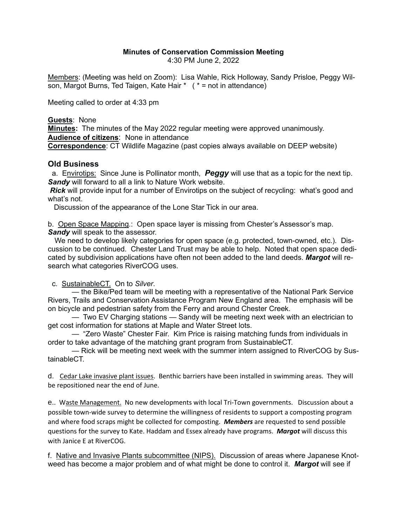## **Minutes of Conservation Commission Meeting**

4:30 PM June 2, 2022

Members: (Meeting was held on Zoom): Lisa Wahle, Rick Holloway, Sandy Prisloe, Peggy Wilson, Margot Burns, Ted Taigen, Kate Hair \* ( \* = not in attendance)

Meeting called to order at 4:33 pm

## **Guests**: None

**Minutes:** The minutes of the May 2022 regular meeting were approved unanimously. **Audience of citizens**: None in attendance

**Correspondence**: CT Wildlife Magazine (past copies always available on DEEP website)

## **Old Business**

 a. Envirotips: Since June is Pollinator month, *Peggy* will use that as a topic for the next tip. *Sandy* will forward to all a link to Nature Work website.

*Rick* will provide input for a number of Envirotips on the subject of recycling: what's good and what's not.

Discussion of the appearance of the Lone Star Tick in our area.

b. Open Space Mapping.: Open space layer is missing from Chester's Assessor's map. *Sandy* will speak to the assessor.

 We need to develop likely categories for open space (e.g. protected, town-owned, etc.). Discussion to be continued. Chester Land Trust may be able to help. Noted that open space dedicated by subdivision applications have often not been added to the land deeds. *Margot* will research what categories RiverCOG uses.

c. SustainableCT. On to *Silver*.

— the Bike/Ped team will be meeting with a representative of the National Park Service Rivers, Trails and Conservation Assistance Program New England area. The emphasis will be on bicycle and pedestrian safety from the Ferry and around Chester Creek.

— Two EV Charging stations — Sandy will be meeting next week with an electrician to get cost information for stations at Maple and Water Street lots.

— "Zero Waste" Chester Fair. Kim Price is raising matching funds from individuals in order to take advantage of the matching grant program from SustainableCT.

— Rick will be meeting next week with the summer intern assigned to RiverCOG by SustainableCT.

d. Cedar Lake invasive plant issues. Benthic barriers have been installed in swimming areas. They will be repositioned near the end of June.

e.. Waste Management. No new developments with local Tri-Town governments. Discussion about a possible town-wide survey to determine the willingness of residents to support a composting program and where food scraps might be collected for composting. *Members* are requested to send possible questions for the survey to Kate. Haddam and Essex already have programs. *Margot* will discuss this with Janice E at RiverCOG.

f. Native and Invasive Plants subcommittee (NIPS). Discussion of areas where Japanese Knotweed has become a major problem and of what might be done to control it. *Margot* will see if